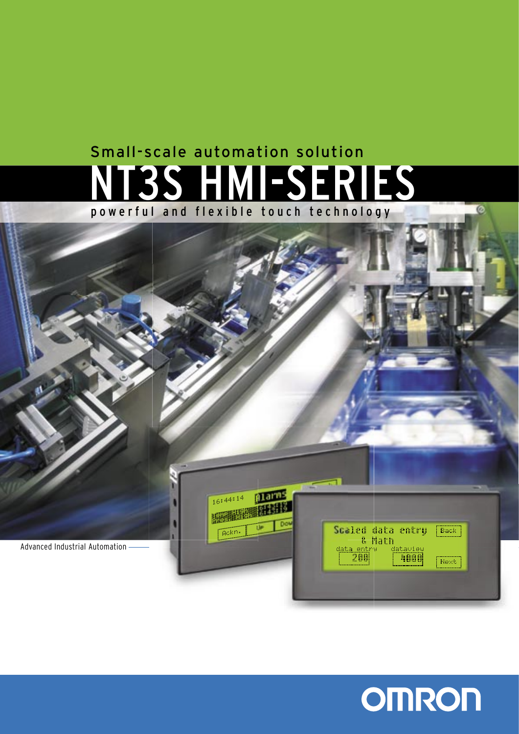# **-SERIES** powerful and flexible touch technology Small-scale automation solution





 $\overline{6}$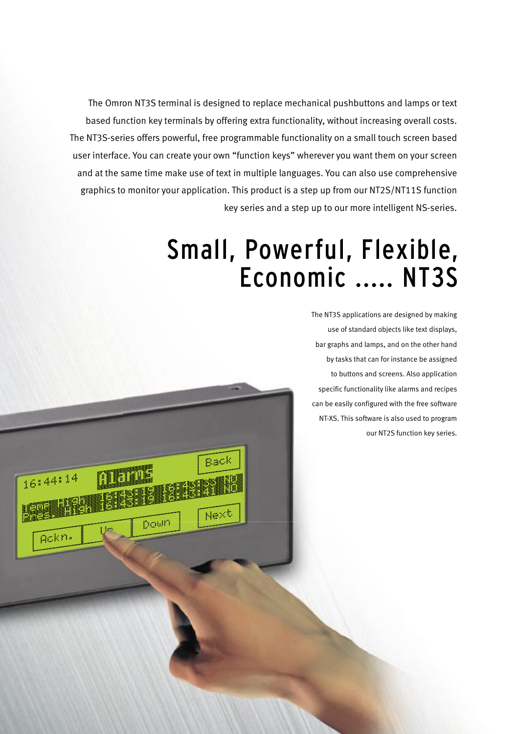The Omron NT3S terminal is designed to replace mechanical pushbuttons and lamps or text based function key terminals by offering extra functionality, without increasing overall costs. The NT3S-series offers powerful, free programmable functionality on a small touch screen based user interface. You can create your own "function keys" wherever you want them on your screen and at the same time make use of text in multiple languages. You can also use comprehensive graphics to monitor your application. This product is a step up from our NT2S/NT11S function key series and a step up to our more intelligent NS-series.

Back

Ñext

Porta Br

 $16:44:14$ 

gakn.

# Small, Powerful, Flexible, Economic ..... NT3S

The NT3S applications are designed by making use of standard objects like text displays, bar graphs and lamps, and on the other hand by tasks that can for instance be assigned to buttons and screens. Also application specific functionality like alarms and recipes can be easily configured with the free software NT-XS. This software is also used to program our NT2S function key series.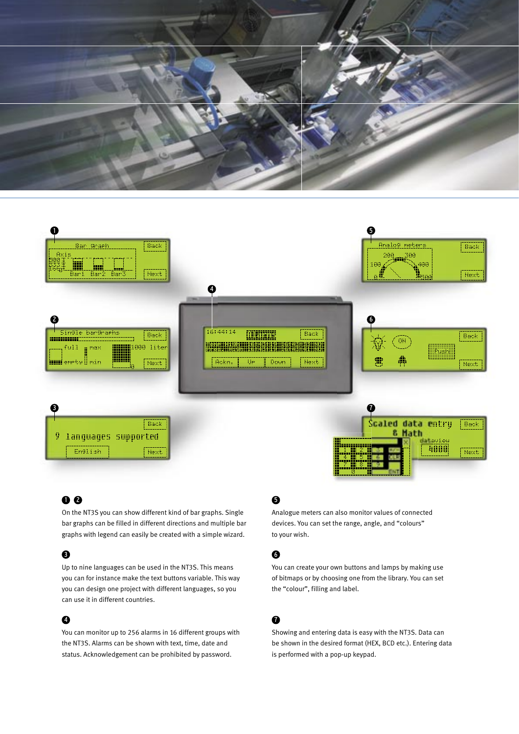



# 00

On the NT3S you can show different kind of bar graphs. Single bar graphs can be filled in different directions and multiple bar graphs with legend can easily be created with a simple wizard.

## $\mathbf{a}$

Up to nine languages can be used in the NT3S. This means you can for instance make the text buttons variable. This way you can design one project with different languages, so you can use it in different countries.

## $\bullet$

You can monitor up to 256 alarms in 16 different groups with the NT3S. Alarms can be shown with text, time, date and status. Acknowledgement can be prohibited by password.

# $\mathbf 6$

Analogue meters can also monitor values of connected devices. You can set the range, angle, and "colours" to your wish.

# 6

You can create your own buttons and lamps by making use of bitmaps or by choosing one from the library. You can set the "colour", filling and label.

# $\mathbf 6$

Showing and entering data is easy with the NT3S. Data can be shown in the desired format (HEX, BCD etc.). Entering data is performed with a pop-up keypad.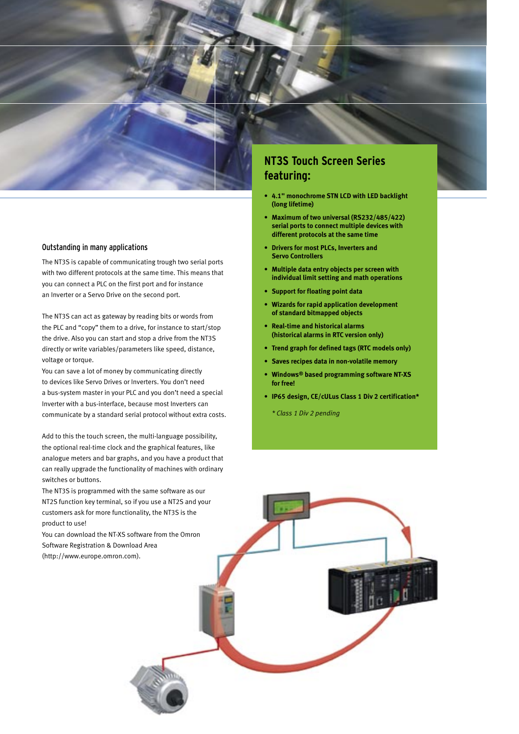

### Outstanding in many applications

The NT3S is capable of communicating trough two serial ports with two different protocols at the same time. This means that you can connect a PLC on the first port and for instance an Inverter or a Servo Drive on the second port.

The NT3S can act as gateway by reading bits or words from the PLC and "copy" them to a drive, for instance to start/stop the drive. Also you can start and stop a drive from the NT3S directly or write variables/parameters like speed, distance, voltage or torque.

You can save a lot of money by communicating directly to devices like Servo Drives or Inverters. You don't need a bus-system master in your PLC and you don't need a special Inverter with a bus-interface, because most Inverters can communicate by a standard serial protocol without extra costs.

Add to this the touch screen, the multi-language possibility, the optional real-time clock and the graphical features, like analogue meters and bar graphs, and you have a product that can really upgrade the functionality of machines with ordinary switches or buttons.

The NT3S is programmed with the same software as our NT2S function key terminal, so if you use a NT2S and your customers ask for more functionality, the NT3S is the product to use!

You can download the NT-XS software from the Omron Software Registration & Download Area (http://www.europe.omron.com).

# **NT3S Touch Screen Series featuring:**

- **• 4.1" monochrome STN LCD with LED backlight (long lifetime)**
- **• Maximum of two universal (RS232/485/422) serial ports to connect multiple devices with different protocols at the same time**
- **• Drivers for most PLCs, Inverters and Servo Controllers**
- **• Multiple data entry objects per screen with individual limit setting and math operations**
- **• Support for floating point data**
- **• Wizards for rapid application development of standard bitmapped objects**
- **• Real-time and historical alarms (historical alarms in RTC version only)**
- **• Trend graph for defined tags (RTC models only)**
- **• Saves recipes data in non-volatile memory**
- **• Windows® based programming software NT-XS for free!**
- **• IP65 design, CE/cULus Class 1 Div 2 certification\***

 *\* Class 1 Div 2 pending*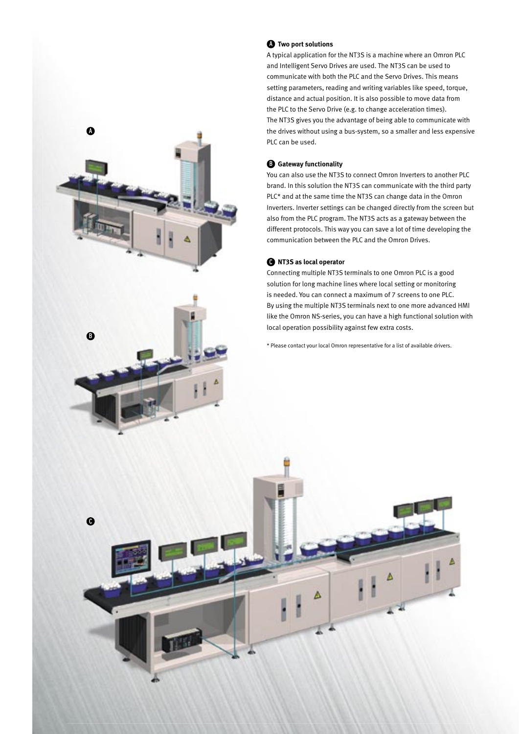



 $\Omega$ 

#### **Two port solutions**  A

A typical application for the NT3S is a machine where an Omron PLC and Intelligent Servo Drives are used. The NT3S can be used to communicate with both the PLC and the Servo Drives. This means setting parameters, reading and writing variables like speed, torque, distance and actual position. It is also possible to move data from the PLC to the Servo Drive (e.g. to change acceleration times). The NT3S gives you the advantage of being able to communicate with the drives without using a bus-system, so a smaller and less expensive PLC can be used.

#### **Gateway functionality**  B

You can also use the NT3S to connect Omron Inverters to another PLC brand. In this solution the NT3S can communicate with the third party PLC\* and at the same time the NT3S can change data in the Omron Inverters. Inverter settings can be changed directly from the screen but also from the PLC program. The NT3S acts as a gateway between the different protocols. This way you can save a lot of time developing the communication between the PLC and the Omron Drives.

#### **NT3S as local operator**

Δ

Connecting multiple NT3S terminals to one Omron PLC is a good solution for long machine lines where local setting or monitoring is needed. You can connect a maximum of 7 screens to one PLC. By using the multiple NT3S terminals next to one more advanced HMI like the Omron NS-series, you can have a high functional solution with local operation possibility against few extra costs.

\* Please contact your local Omron representative for a list of available drivers.